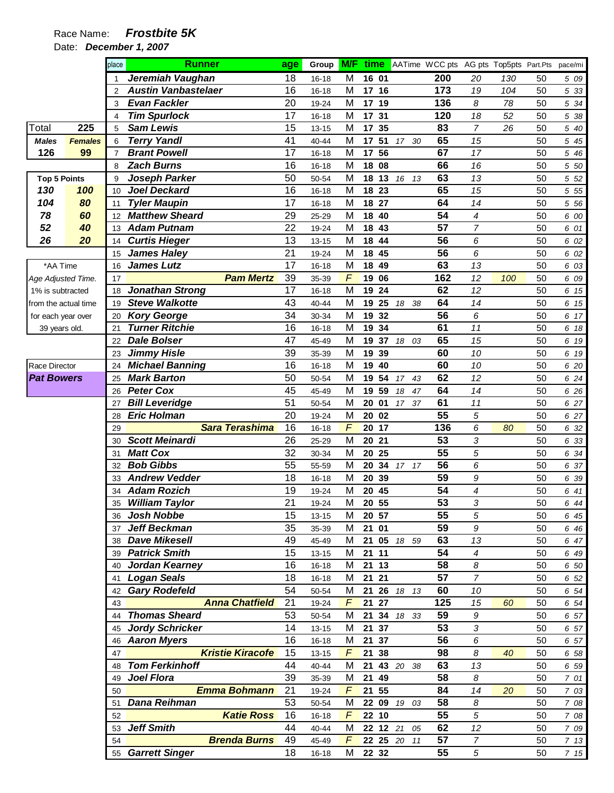|                      |                | place          | <b>Runner</b>              | age | Group     | <b>M/F</b> |          |             | <b>time</b> AATime WCC pts AG pts Top5pts Part.Pts |                  |     |    | pace/mi |
|----------------------|----------------|----------------|----------------------------|-----|-----------|------------|----------|-------------|----------------------------------------------------|------------------|-----|----|---------|
|                      |                |                | Jeremiah Vaughan           | 18  | 16-18     | M          | 16 01    |             | 200                                                | 20               | 130 | 50 | 5 09    |
|                      |                | 2              | <b>Austin Vanbastelaer</b> | 16  | 16-18     | М          | 17 16    |             | 173                                                | 19               | 104 | 50 | 5 33    |
|                      |                | 3              | <b>Evan Fackler</b>        | 20  | 19-24     | M          | 17 19    |             | 136                                                | 8                | 78  | 50 | 5 34    |
|                      |                | 4              | <b>Tim Spurlock</b>        | 17  | 16-18     | M          | 17<br>31 |             | 120                                                | 18               | 52  | 50 | 5 38    |
| Total                | 225            | 5              | <b>Sam Lewis</b>           | 15  | $13 - 15$ | M          | 17<br>35 |             | 83                                                 | $\overline{7}$   | 26  | 50 | 5 40    |
| <b>Males</b>         | <b>Females</b> | 6              | <b>Terry Yandl</b>         | 41  | 40-44     | M          | 51<br>17 | 17 30       | 65                                                 | 15               |     | 50 | 5 45    |
| 126                  | 99             | $\overline{7}$ | <b>Brant Powell</b>        | 17  | 16-18     | M          | 17 56    |             | 67                                                 | 17               |     | 50 | 5 46    |
|                      |                | 8              | <b>Zach Burns</b>          | 16  | 16-18     | M          | 18 08    |             | 66                                                 | 16               |     | 50 | 5 50    |
| <b>Top 5 Points</b>  |                | 9              | Joseph Parker              | 50  | 50-54     | M          | 18 13    | 16 13       | 63                                                 | 13               |     | 50 | 5 52    |
| 130                  | 100            | 10             | <b>Joel Deckard</b>        | 16  | 16-18     | M          | 18 23    |             | 65                                                 | 15               |     | 50 | 5 5 5   |
| 104                  | 80             | 11             | <b>Tyler Maupin</b>        | 17  | 16-18     | M          | 27<br>18 |             | 64                                                 | 14               |     | 50 | 5 5 6   |
| 78                   | 60             | 12             | <b>Matthew Sheard</b>      | 29  | 25-29     | M          | 18<br>40 |             | 54                                                 | 4                |     | 50 | 6 00    |
| 52                   | 40             | 13             | <b>Adam Putnam</b>         | 22  | 19-24     | M          | 18 43    |             | 57                                                 | $\overline{7}$   |     | 50 | 6 01    |
| 26                   | 20             | 14             | <b>Curtis Hieger</b>       | 13  | $13 - 15$ | M          | 18 44    |             | 56                                                 | 6                |     | 50 | 6 02    |
|                      |                | 15             | <b>James Haley</b>         | 21  | 19-24     | M          | 18 45    |             | 56                                                 | 6                |     | 50 | 6 02    |
| *AA Time             |                | 16             | <b>James Lutz</b>          | 17  | $16 - 18$ | M          | 18<br>49 |             | 63                                                 | 13               |     | 50 | 6 03    |
| Age Adjusted Time.   |                | 17             | <b>Pam Mertz</b>           | 39  | 35-39     | $\sqrt{2}$ | 19<br>06 |             | 162                                                | 12               | 100 | 50 | 6 09    |
| 1% is subtracted     |                | 18             | <b>Jonathan Strong</b>     | 17  | 16-18     | M          | 19<br>24 |             | 62                                                 | 12               |     | 50 | 6 15    |
| from the actual time |                | 19             | <b>Steve Walkotte</b>      | 43  | 40-44     | M          | 25<br>19 | 38<br>18    | 64                                                 | 14               |     | 50 | 6 15    |
| for each year over   |                | 20             | <b>Kory George</b>         | 34  | 30-34     | M          | 32<br>19 |             | 56                                                 | 6                |     | 50 | 6 17    |
| 39 years old.        |                | 21             | <b>Turner Ritchie</b>      | 16  | 16-18     | M          | 19 34    |             | 61                                                 | 11               |     | 50 | 6 18    |
|                      |                | 22             | <b>Dale Bolser</b>         | 47  | 45-49     | M          | 19<br>37 | 18 03       | 65                                                 | 15               |     | 50 | 6 19    |
|                      |                | 23             | <b>Jimmy Hisle</b>         | 39  | 35-39     | M          | 19<br>39 |             | 60                                                 | 10               |     | 50 | 6 19    |
| <b>Race Director</b> |                | 24             | <b>Michael Banning</b>     | 16  | 16-18     | M          | 40<br>19 |             | 60                                                 | 10               |     | 50 | 6 20    |
| <b>Pat Bowers</b>    |                | 25             | <b>Mark Barton</b>         | 50  | 50-54     | M          | 54<br>19 | 17 43       | 62                                                 | 12               |     | 50 | 6 24    |
|                      |                | 26             | <b>Peter Cox</b>           | 45  | 45-49     | M          | 59<br>19 | 18<br>47    | 64                                                 | 14               |     | 50 | 6 26    |
|                      |                | 27             | <b>Bill Leveridge</b>      | 51  | 50-54     | M          | 20 01    | 17<br>37    | 61                                                 | 11               |     | 50 | 6 27    |
|                      |                | 28             | <b>Eric Holman</b>         | 20  | 19-24     | M          | 20 02    |             | 55                                                 | 5                |     | 50 | 6 27    |
|                      |                | 29             | <b>Sara Terashima</b>      | 16  | 16-18     | F          | 20 17    |             | 136                                                | 6                | 80  | 50 | 6 32    |
|                      |                | 30             | <b>Scott Meinardi</b>      | 26  | 25-29     | M          | 20<br>21 |             | 53                                                 | 3                |     | 50 | 6 33    |
|                      |                | 31             | <b>Matt Cox</b>            | 32  | 30-34     | M          | 20<br>25 |             | 55                                                 | 5                |     | 50 | 6 34    |
|                      |                | 32             | <b>Bob Gibbs</b>           | 55  | 55-59     | M          | 20       | 34 17 17    | 56                                                 | 6                |     | 50 | 6 37    |
|                      |                | 33             | <b>Andrew Vedder</b>       | 18  | 16-18     | M          | 20 39    |             | 59                                                 | 9                |     | 50 | 6 39    |
|                      |                | 34             | <b>Adam Rozich</b>         | 19  | 19-24     | M          | 20<br>45 |             | 54                                                 | 4                |     | 50 | 6 41    |
|                      |                | 35             | <b>William Taylor</b>      | 21  | 19-24     | М          | 20 55    |             | $\overline{53}$                                    | 3                |     | 50 | 6 44    |
|                      |                | 36             | Josh Nobbe                 | 15  | $13 - 15$ | M          | 20 57    |             | 55                                                 | 5                |     | 50 | 6 45    |
|                      |                |                | 37 Jeff Beckman            | 35  | 35-39     | М          | 21 01    |             | 59                                                 | $\boldsymbol{9}$ |     | 50 | 6 4 6   |
|                      |                |                | 38 Dave Mikesell           | 49  | 45-49     | М          |          | 21 05 18 59 | 63                                                 | 13               |     | 50 | 6 47    |
|                      |                |                | 39 Patrick Smith           | 15  | $13 - 15$ | М          | 21 11    |             | 54                                                 | 4                |     | 50 | 6 49    |
|                      |                | 40             | Jordan Kearney             | 16  | 16-18     | М          | 21 13    |             | 58                                                 | 8                |     | 50 | 6 50    |
|                      |                | 41             | <b>Logan Seals</b>         | 18  | 16-18     | М          | 21 21    |             | 57                                                 | $\overline{7}$   |     | 50 | 6 52    |
|                      |                | 42             | <b>Gary Rodefeld</b>       | 54  | 50-54     | M          | 21       | 26 18 13    | 60                                                 | 10               |     | 50 | 6 54    |
|                      |                | 43             | <b>Anna Chatfield</b>      | 21  | 19-24     | F          | 21 27    |             | 125                                                | 15               | 60  | 50 | 6 54    |
|                      |                | 44             | <b>Thomas Sheard</b>       | 53  | 50-54     | M          |          | 21 34 18 33 | 59                                                 | 9                |     | 50 | 6 57    |
|                      |                |                | 45 Jordy Schricker         | 14  | $13 - 15$ | M          | 21 37    |             | 53                                                 | 3                |     | 50 | 6 57    |
|                      |                |                | 46 Aaron Myers             | 16  | 16-18     | M          | 21 37    |             | 56                                                 | 6                |     | 50 | 6 57    |
|                      |                | 47             | <b>Kristie Kiracofe</b>    | 15  | $13 - 15$ | F          | 21 38    |             | 98                                                 | 8                | 40  | 50 | 6 58    |
|                      |                | 48             | <b>Tom Ferkinhoff</b>      | 44  | 40-44     | M          | 21       | 43 20 38    | 63                                                 | 13               |     | 50 | 6 59    |
|                      |                | 49             | <b>Joel Flora</b>          | 39  | 35-39     | м          | 21 49    |             | 58                                                 | 8                |     | 50 | 7 01    |
|                      |                | 50             | <b>Emma Bohmann</b>        | 21  | 19-24     | F          | 21 55    |             | 84                                                 | 14               | 20  | 50 | 7 03    |
|                      |                | 51             | <b>Dana Reihman</b>        | 53  | 50-54     | M          |          | 22 09 19 03 | 58                                                 | 8                |     | 50 | 7 08    |
|                      |                | 52             | <b>Katie Ross</b>          | 16  | 16-18     | F          | 22 10    |             | 55                                                 | 5                |     | 50 | 7 08    |
|                      |                | 53             | <b>Jeff Smith</b>          | 44  | 40-44     | M          |          | 22 12 21 05 | 62                                                 | 12               |     | 50 | 7 09    |
|                      |                | 54             | <b>Brenda Burns</b>        | 49  | 45-49     | F          |          | 22 25 20 11 | 57                                                 | $\overline{7}$   |     | 50 | 7 13    |
|                      |                | 55             | <b>Garrett Singer</b>      | 18  | 16-18     | М          | 22 32    |             | 55                                                 | 5                |     | 50 | 7 15    |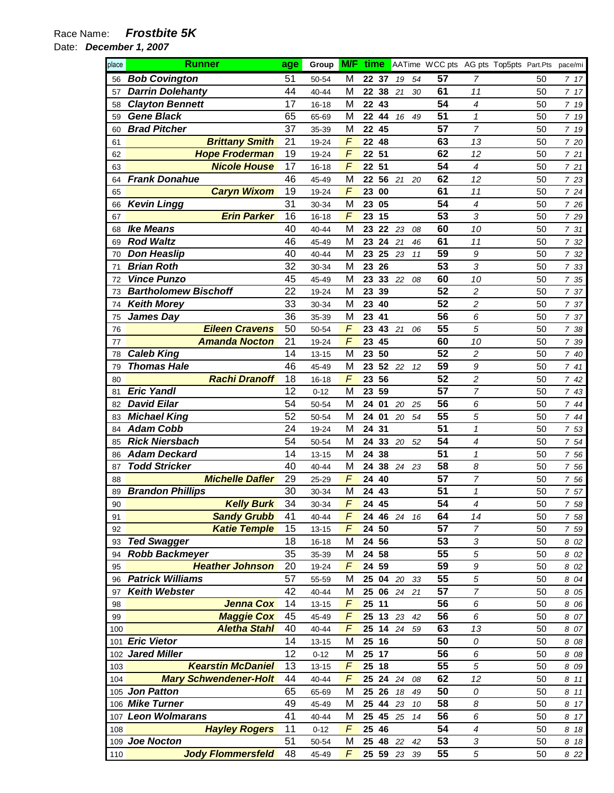| place    | <b>Runner</b>                               | age      | Group                  | <b>M/F</b> |             |    |       |    | time AATime WCC pts AG pts Top5pts Part.Pts pace/mi |                         |          |              |
|----------|---------------------------------------------|----------|------------------------|------------|-------------|----|-------|----|-----------------------------------------------------|-------------------------|----------|--------------|
| 56       | <b>Bob Covington</b>                        | 51       | 50-54                  | М          | 22 37       |    | 19    | 54 | 57                                                  | 7                       | 50       | 7 17         |
| 57       | <b>Darrin Dolehanty</b>                     | 44       | $40 - 44$              | M          | 22          | 38 | 21    | 30 | 61                                                  | 11                      | 50       | 7 17         |
| 58       | <b>Clayton Bennett</b>                      | 17       | 16-18                  | M          | 22          | 43 |       |    | 54                                                  | 4                       | 50       | 7 19         |
| 59       | <b>Gene Black</b>                           | 65       | 65-69                  | M          | 22 44       |    | 16    | 49 | 51                                                  | $\mathbf{1}$            | 50       | 7 19         |
| 60       | <b>Brad Pitcher</b>                         | 37       | 35-39                  | М          | 22          | 45 |       |    | 57                                                  | $\overline{7}$          | 50       | 7 19         |
| 61       | <b>Brittany Smith</b>                       | 21       | 19-24                  | $\sqrt{2}$ | 22          | 48 |       |    | 63                                                  | 13                      | 50       | 7 20         |
| 62       | <b>Hope Froderman</b>                       | 19       | 19-24                  | F          | 22          | 51 |       |    | 62                                                  | 12                      | 50       | 721          |
| 63       | <b>Nicole House</b>                         | 17       | 16-18                  | $\sqrt{2}$ | 22          | 51 |       |    | 54                                                  | 4                       | 50       | 721          |
| 64       | <b>Frank Donahue</b>                        | 46       | 45-49                  | M          | 22          | 56 | 21    | 20 | 62                                                  | 12                      | 50       | 7 23         |
| 65       | <b>Caryn Wixom</b>                          | 19       | 19-24                  | F          | 23          | 00 |       |    | 61                                                  | 11                      | 50       | 724          |
| 66       | <b>Kevin Lingg</b>                          | 31       | 30-34                  | M          | 23          | 05 |       |    | 54                                                  | 4                       | 50       | 7 26         |
| 67       | <b>Erin Parker</b>                          | 16       | $16 - 18$              | F          | 23          | 15 |       |    | 53                                                  | 3                       | 50       | 7 29         |
| 68       | <b>Ike Means</b>                            | 40       | 40-44                  | M          | 23          | 22 | 23    | 08 | 60                                                  | 10                      | 50       | 7 31         |
| 69       | <b>Rod Waltz</b>                            | 46       | 45-49                  | M          | 23          | 24 | 21    | 46 | 61                                                  | 11                      | 50       | 7 32         |
| 70       | <b>Don Heaslip</b>                          | 40       | 40-44                  | M          | 23          | 25 | 23    | 11 | 59                                                  | 9                       | 50       | 7 32         |
| 71       | <b>Brian Roth</b>                           | 32       | 30-34                  | M          | 23          | 26 |       |    | 53                                                  | 3                       | 50       | 7 33         |
| 72       | <b>Vince Punzo</b>                          | 45       | 45-49                  | M          | 23          | 33 | 22    | 08 | 60                                                  | 10                      | 50       | 7 35         |
| 73       | <b>Bartholomew Bischoff</b>                 | 22       | 19-24                  | M          | 23          | 39 |       |    | 52                                                  | $\overline{\mathbf{c}}$ | 50       | 7 37         |
| 74       | <b>Keith Morey</b>                          | 33       | 30-34                  | M          | 23          | 40 |       |    | 52                                                  | $\overline{c}$          | 50       | 7 37         |
| 75       | James Day                                   | 36       | 35-39                  | M          | 23          | 41 |       |    | 56                                                  | 6                       | 50       | 7 37         |
| 76       | <b>Eileen Cravens</b>                       | 50       | 50-54                  | $\sqrt{2}$ | 23          | 43 | 21    | 06 | 55                                                  | 5                       | 50       | 7 38         |
| 77       | <b>Amanda Nocton</b>                        | 21       | 19-24                  | $\sqrt{2}$ | 23          | 45 |       |    | 60                                                  | 10                      | 50       | 7 39         |
| 78       | <b>Caleb King</b>                           | 14       | $13 - 15$              | M          | 23          | 50 |       |    | 52                                                  | $\overline{c}$          | 50       | 7 40         |
| 79       | <b>Thomas Hale</b>                          | 46       | 45-49                  | M          | 23          |    | 52 22 | 12 | 59                                                  | 9                       | 50       | 741          |
| 80       | <b>Rachi Dranoff</b>                        | 18       | $16 - 18$              | F          | 23          | 56 |       |    | 52                                                  | 2                       | 50       | 742          |
| 81       | <b>Eric Yandl</b>                           | 12       | $0 - 12$               | M          | 23          | 59 |       |    | 57                                                  | $\overline{7}$          | 50       | 7 43         |
| 82       | <b>David Eilar</b>                          | 54       | 50-54                  | M          | 24          | 01 | 20    | 25 | 56                                                  | 6                       | 50       | 744          |
| 83       | <b>Michael King</b>                         | 52       | 50-54                  | M          | 24 01       |    | 20    | 54 | 55                                                  | 5                       | 50       | 7 44         |
| 84       | <b>Adam Cobb</b>                            | 24       | 19-24                  | M          | 24          | 31 |       |    | 51                                                  | $\mathbf{1}$            | 50       | 7 53         |
| 85       | <b>Rick Niersbach</b>                       | 54       | 50-54                  | М          | 24          | 33 | 20    | 52 | 54<br>51                                            | 4                       | 50       | 7 54         |
| 86       | <b>Adam Deckard</b><br><b>Todd Stricker</b> | 14<br>40 | $13 - 15$<br>$40 - 44$ | M<br>M     | 24 38<br>24 | 38 |       |    | 58                                                  | $\mathcal I$<br>8       | 50<br>50 | 7 56         |
| 87       | <b>Michelle Dafler</b>                      | 29       |                        | $\sqrt{2}$ | 24          | 40 | 24    | 23 | 57                                                  | $\overline{7}$          | 50       | 7 56         |
| 88<br>89 | <b>Brandon Phillips</b>                     | 30       | 25-29<br>30-34         | M          | 24          | 43 |       |    | 51                                                  | $\mathcal I$            | 50       | 7 56<br>7 57 |
| 90       | <b>Kelly Burk</b>                           | 34       | 30-34                  | F          | 24 45       |    |       |    | $\overline{54}$                                     | 4                       | 50       | 7 58         |
| 91       | <b>Sandy Grubb</b>                          | 41       | 40-44                  | F          | 24 46 24    |    |       | 16 | 64                                                  | 14                      | 50       | 7 58         |
| 92       | <b>Katie Temple</b>                         | 15       | $13 - 15$              | F          | 24 50       |    |       |    | 57                                                  | $\overline{7}$          | 50       | 7 59         |
| 93       | <b>Ted Swagger</b>                          | 18       | 16-18                  | M          | 24          | 56 |       |    | 53                                                  | 3                       | 50       | 8 0 2        |
| 94       | <b>Robb Backmeyer</b>                       | 35       | 35-39                  | M          | 24          | 58 |       |    | 55                                                  | 5                       | 50       | 8 02         |
| 95       | <b>Heather Johnson</b>                      | 20       | 19-24                  | F          | 24          | 59 |       |    | 59                                                  | 9                       | 50       | 8 02         |
| 96       | <b>Patrick Williams</b>                     | 57       | 55-59                  | M          | 25          | 04 | 20    | 33 | 55                                                  | 5                       | 50       | 8 04         |
| 97       | <b>Keith Webster</b>                        | 42       | 40-44                  | M          | 25 06       |    | 24    | 21 | 57                                                  | $\overline{7}$          | 50       | 8 0 5        |
| 98       | <b>Jenna Cox</b>                            | 14       | $13 - 15$              | $\sqrt{2}$ | 25 11       |    |       |    | 56                                                  | 6                       | 50       | 8 0 6        |
| 99       | <b>Maggie Cox</b>                           | 45       | 45-49                  | F          | 25          | 13 | 23    | 42 | 56                                                  | 6                       | 50       | 8 07         |
| 100      | <b>Aletha Stahl</b>                         | 40       | 40-44                  | F          | 25          |    | 14 24 | 59 | 63                                                  | 13                      | 50       | 8 07         |
|          | 101 Eric Vietor                             | 14       | 13-15                  | M          | 25 16       |    |       |    | 50                                                  | 0                       | 50       | 8 08         |
|          | 102 Jared Miller                            | 12       | $0 - 12$               | M          | 25 17       |    |       |    | 56                                                  | 6                       | 50       | 8 08         |
| 103      | <b>Kearstin McDaniel</b>                    | 13       | $13 - 15$              | F          | 25          | 18 |       |    | 55                                                  | 5                       | 50       | 8 0 9        |
| 104      | <b>Mary Schwendener-Holt</b>                | 44       | 40-44                  | $\sqrt{2}$ | 25          | 24 | 24    | 08 | 62                                                  | 12                      | 50       | 8 11         |
|          | 105 Jon Patton                              | 65       | 65-69                  | M          | 25          | 26 | 18    | 49 | 50                                                  | 0                       | 50       | 8 11         |
|          | 106 Mike Turner                             | 49       | 45-49                  | M          | 25          | 44 | 23    | 10 | 58                                                  | 8                       | 50       | 8 17         |
| 107      | <b>Leon Wolmarans</b>                       | 41       | 40-44                  | M          | 25          | 45 | 25    | 14 | 56                                                  | 6                       | 50       | 8 17         |
| 108      | <b>Hayley Rogers</b>                        | 11       | $0 - 12$               | F          | 25          | 46 |       |    | 54                                                  | 4                       | 50       | 8 18         |
|          | 109 Joe Nocton                              | 51       | 50-54                  | M          | 25          | 48 | 22    | 42 | 53                                                  | 3                       | 50       | 8 18         |
| 110      | <b>Jody Flommersfeld</b>                    | 48       | 45-49                  | F          | 25 59 23    |    |       | 39 | 55                                                  | 5                       | 50       | 8 22         |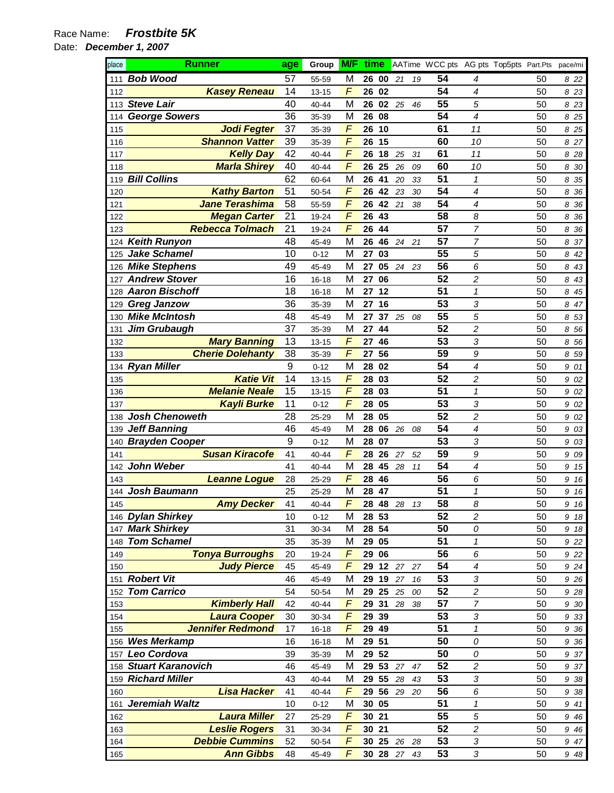| place      | <b>Runner</b>                       | age              | Group          | <b>M/F</b>      | time              |        |    | AATime WCC pts AG pts Top5pts Part.Pts |                  |          | pace/mi      |
|------------|-------------------------------------|------------------|----------------|-----------------|-------------------|--------|----|----------------------------------------|------------------|----------|--------------|
| 111        | <b>Bob Wood</b>                     | 57               | 55-59          | м               | 26 00             | 21     | 19 | 54                                     | 4                | 50       | 822          |
| 112        | <b>Kasey Reneau</b>                 | 14               | $13 - 15$      | F               | 26<br>02          |        |    | 54                                     | 4                | 50       | 8 2 3        |
| 113        | <b>Steve Lair</b>                   | 40               | 40-44          | M               | 26<br>02          | 25     | 46 | 55                                     | 5                | 50       | 8 2 3        |
| 114        | <b>George Sowers</b>                | 36               | 35-39          | M               | 26<br>08          |        |    | 54                                     | 4                | 50       | 8<br>25      |
| 115        | <b>Jodi Fegter</b>                  | 37               | 35-39          | $\sqrt{2}$      | 10<br>26          |        |    | 61                                     | 11               | 50       | 8 25         |
| 116        | <b>Shannon Vatter</b>               | 39               | 35-39          | $\sqrt{2}$      | 26<br>15          |        |    | 60                                     | 10               | 50       | 8 27         |
| 117        | <b>Kelly Day</b>                    | 42               | 40-44          | $\sqrt{2}$      | 18<br>26          | 25     | 31 | 61                                     | 11               | 50       | 8 28         |
| 118        | <b>Marla Shirey</b>                 | 40               | 40-44          | $\sqrt{2}$      | 26<br>25          | 26     | 09 | 60                                     | 10               | 50       | 8 30         |
| 119        | <b>Bill Collins</b>                 | 62               | 60-64          | M               | 41<br>26          | 20     | 33 | 51                                     | $\mathbf{1}$     | 50       | 8<br>35      |
| 120        | <b>Kathy Barton</b>                 | 51               | 50-54          | F               | 42<br>26          | 23     | 30 | 54                                     | 4                | 50       | 8<br>36      |
| 121        | <b>Jane Terashima</b>               | 58               | 55-59          | F               | 42<br>26          | 21     | 38 | 54                                     | 4                | 50       | 8 36         |
| 122        | <b>Megan Carter</b>                 | 21               | 19-24          | F               | 26<br>43          |        |    | 58                                     | 8                | 50       | 8<br>36      |
| 123        | <b>Rebecca Tolmach</b>              | 21               | 19-24          | F               | 26<br>44          |        |    | 57                                     | $\overline{7}$   | 50       | 8 36         |
| 124        | <b>Keith Runyon</b>                 | 48               | 45-49          | M               | 26<br>46          | 24     | 21 | 57                                     | $\overline{7}$   | 50       | 37<br>8      |
| 125        | <b>Jake Schamel</b>                 | 10               | $0 - 12$       | M               | 27<br>03          |        |    | 55                                     | 5                | 50       | 8<br>42      |
| 126        | <b>Mike Stephens</b>                | 49               | 45-49          | M               | 27<br>05          | 24     | 23 | 56                                     | 6                | 50       | 8<br>43      |
| 127        | <b>Andrew Stover</b>                | 16               | 16-18          | M               | 06<br>27          |        |    | 52                                     | 2                | 50       | 8<br>43      |
| 128        | <b>Aaron Bischoff</b>               | 18               | 16-18          | M               | 27<br>12          |        |    | 51                                     | 1                | 50       | 8<br>45      |
| 129        | <b>Greg Janzow</b>                  | 36               | 35-39          | M               | 27<br>16          |        |    | 53                                     | 3                | 50       | 8 47         |
|            | 130 Mike McIntosh                   | 48               | 45-49          | M               | 37<br>27          | 25     | 08 | 55                                     | 5                | 50       | 8 53         |
| 131        | <b>Jim Grubaugh</b>                 | 37               | 35-39          | M               | 27<br>44          |        |    | 52                                     | $\overline{c}$   | 50       | 8<br>56      |
| 132        | <b>Mary Banning</b>                 | 13               | $13 - 15$      | F               | 27<br>46          |        |    | 53                                     | 3                | 50       | 8 56         |
| 133        | <b>Cherie Dolehanty</b>             | 38               | 35-39          | F               | 56<br>27          |        |    | 59                                     | 9                | 50       | 8 59         |
|            | 134 Ryan Miller                     | $\boldsymbol{9}$ | $0 - 12$       | M               | 28<br>02          |        |    | 54                                     | 4                | 50       | 9 01         |
| 135        | <b>Katie Vit</b>                    | 14               | $13 - 15$      | F               | 28<br>03          |        |    | 52                                     | 2                | 50       | 9 02         |
| 136        | <b>Melanie Neale</b>                | 15               | $13 - 15$      | F               | 03<br>28          |        |    | 51                                     | 1                | 50       | 9 02         |
| 137        | <b>Kayli Burke</b>                  | 11               | $0 - 12$       | F               | 05<br>28          |        |    | 53                                     | 3                | 50       | 9 02         |
| 138        | <b>Josh Chenoweth</b>               | 28               | 25-29          | M               | 05<br>28          |        |    | 52                                     | 2                | 50       | 9<br>02      |
| 139        | <b>Jeff Banning</b>                 | 46               | 45-49          | M               | 28<br>06          | 26     | 08 | 54                                     | 4                | 50       | 9<br>03      |
| 140        | <b>Brayden Cooper</b>               | 9                | $0 - 12$       | M               | 07<br>28          |        |    | 53                                     | 3                | 50       | 9 03         |
| 141        | <b>Susan Kiracofe</b>               | 41               | 40-44          | $\sqrt{2}$      | 28<br>26          | 27     | 52 | 59                                     | 9                | 50       | 9 0 9        |
| 142        | <b>John Weber</b>                   | 41               | 40-44          | M<br>$\sqrt{2}$ | 28<br>45          | 28     | 11 | 54<br>56                               | 4                | 50       | 9 15         |
| 143        | <b>Leanne Logue</b><br>Josh Baumann | 28               | 25-29          |                 | 28 46             |        |    | 51                                     | 6<br>$\mathbf 1$ | 50       | 9 16         |
| 144<br>145 | <b>Amy Decker</b>                   | 25<br>41         | 25-29<br>40-44 | M<br>F          | 47<br>28<br>28 48 | 28     |    | 58                                     | 8                | 50<br>50 | 9<br>16      |
|            | 146 Dylan Shirkey                   | 10               | $0 - 12$       | M               | 28 53             |        | 13 | 52                                     | 2                | 50       | 9 16<br>9 18 |
|            | 147 Mark Shirkey                    | 31               | 30-34          | M               | 28 54             |        |    | 50                                     | 0                | 50       | 9 18         |
| 148        | <b>Tom Schamel</b>                  | 35               | 35-39          | M               | 29 05             |        |    | 51                                     | 1                | 50       | 9 22         |
| 149        | <b>Tonya Burroughs</b>              | 20               | 19-24          | $\sqrt{2}$      | 29<br>06          |        |    | 56                                     | 6                | 50       | 9 22         |
| 150        | <b>Judy Pierce</b>                  | 45               | 45-49          | $\sqrt{2}$      | 12<br>29          | $27\,$ | 27 | 54                                     | 4                | 50       | 9 24         |
|            | 151 Robert Vit                      | 46               | 45-49          | M               | 19<br>29          | 27     | 16 | 53                                     | 3                | 50       | 9 2 6        |
| 152        | <b>Tom Carrico</b>                  | 54               | 50-54          | M               | 29<br>25          | 25     | 00 | 52                                     | 2                | 50       | 9 28         |
| 153        | <b>Kimberly Hall</b>                | 42               | 40-44          | $\sqrt{2}$      | 31<br>29          | 28     | 38 | 57                                     | $\overline{7}$   | 50       | 9 30         |
| 154        | <b>Laura Cooper</b>                 | 30               | 30-34          | $\sqrt{2}$      | 29 39             |        |    | 53                                     | 3                | 50       | 9 3 3        |
| 155        | <b>Jennifer Redmond</b>             | 17               | 16-18          | $\sqrt{2}$      | 29<br>49          |        |    | 51                                     | $\mathbf 1$      | 50       | 9 36         |
|            | 156 Wes Merkamp                     | 16               | 16-18          | M               | 29 51             |        |    | 50                                     | 0                | 50       | 9 36         |
|            | 157 Leo Cordova                     | 39               | 35-39          | M               | 52<br>29          |        |    | 50                                     | 0                | 50       | 9 37         |
| 158        | <b>Stuart Karanovich</b>            | 46               | 45-49          | M               | 29<br>53          | $27\,$ | 47 | 52                                     | 2                | 50       | 9 37         |
| 159        | <b>Richard Miller</b>               | 43               | 40-44          | M               | 29 55             | 28     | 43 | 53                                     | 3                | 50       | 9 38         |
| 160        | <b>Lisa Hacker</b>                  | 41               | 40-44          | F               | 56<br>29          | 29     | 20 | 56                                     | 6                | 50       | 9 38         |
| 161        | <b>Jeremiah Waltz</b>               | 10               | $0 - 12$       | M               | 30<br>05          |        |    | 51                                     | 1                | 50       | 9 41         |
| 162        | <b>Laura Miller</b>                 | 27               | 25-29          | $\sqrt{2}$      | 30 21             |        |    | 55                                     | 5                | 50       | 9 4 6        |
| 163        | <b>Leslie Rogers</b>                | 31               | 30-34          | F               | 30<br>21          |        |    | 52                                     | 2                | 50       | 9 4 6        |
| 164        | <b>Debbie Cummins</b>               | 52               | 50-54          | $\sqrt{2}$      | 25<br>30          | 26     | 28 | 53                                     | 3                | 50       | 9 47         |
| 165        | <b>Ann Gibbs</b>                    | 48               | 45-49          | $\sqrt{2}$      | 30 28 27 43       |        |    | 53                                     | 3                | 50       | 9 48         |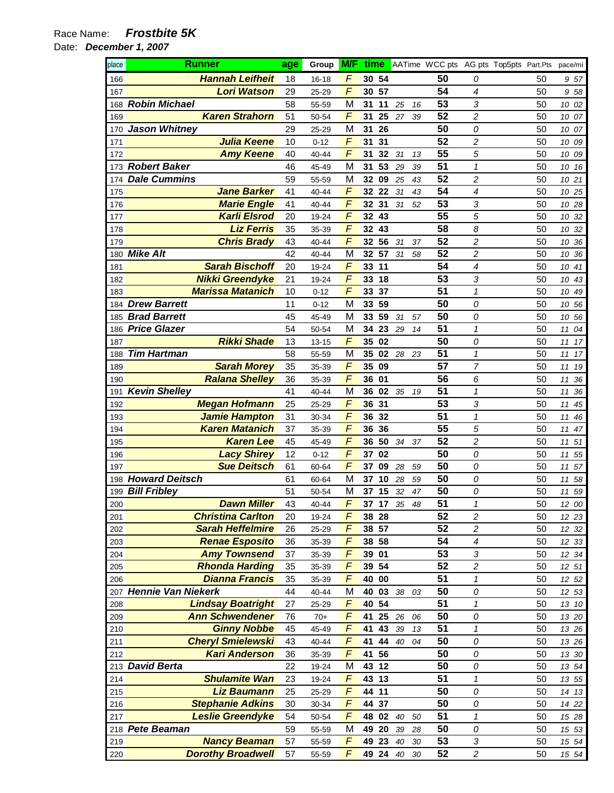| place      | Runner                                        | age | Group     | <b>M/F</b>     |                 |       |        |    | time AATime WCC pts AG pts Top5pts Part.Pts |                         |    | pace/mi  |
|------------|-----------------------------------------------|-----|-----------|----------------|-----------------|-------|--------|----|---------------------------------------------|-------------------------|----|----------|
| 166        | <b>Hannah Leifheit</b>                        | 18  | $16 - 18$ | F              |                 | 30 54 |        |    | 50                                          | 0                       | 50 | 957      |
| 167        | <b>Lori Watson</b>                            | 29  | 25-29     | F              | 30              | 57    |        |    | 54                                          | $\overline{4}$          | 50 | 9 58     |
| 168        | <b>Robin Michael</b>                          | 58  | 55-59     | M              | 31              | 11    | 25     | 16 | 53                                          | 3                       | 50 | 10 02    |
| 169        | <b>Karen Strahorn</b>                         | 51  | 50-54     | F              | 31              | 25    | 27     | 39 | 52                                          | $\overline{c}$          | 50 | 10 07    |
| 170        | <b>Jason Whitney</b>                          | 29  | 25-29     | М              | 31              | 26    |        |    | 50                                          | 0                       | 50 | 07<br>10 |
| 171        | <b>Julia Keene</b>                            | 10  | $0 - 12$  | F              | 31              | 31    |        |    | 52                                          | $\boldsymbol{2}$        | 50 | 10 09    |
| 172        | <b>Amy Keene</b>                              | 40  | 40-44     | F              | 31              | 32    | 31     | 13 | 55                                          | 5                       | 50 | 10 09    |
|            | 173 Robert Baker                              | 46  | 45-49     | M              | 31              | 53    | 29     | 39 | 51                                          | $\mathbf{1}$            | 50 | 10 16    |
| 174        | <b>Dale Cummins</b>                           | 59  | 55-59     | M              |                 | 32 09 | 25     | 43 | 52                                          | $\overline{c}$          | 50 | 10 21    |
| 175        | <b>Jane Barker</b>                            | 41  | 40-44     | F              | 32              | 22    | 31     | 43 | 54                                          | 4                       | 50 | 10 25    |
| 176        | <b>Marie Engle</b>                            | 41  | 40-44     | F              | 32              | 31    | 31     | 52 | 53                                          | 3                       | 50 | 10 28    |
| 177        | <b>Karli Elsrod</b>                           | 20  | 19-24     | F              | 32 <sub>2</sub> | 43    |        |    | 55                                          | 5                       | 50 | 10 32    |
| 178        | <b>Liz Ferris</b>                             | 35  | 35-39     | F              | 32              | 43    |        |    | 58                                          | 8                       | 50 | 10 32    |
| 179        | <b>Chris Brady</b>                            | 43  | 40-44     | F              | 32              | 56    | 31     | 37 | 52                                          | $\overline{\mathbf{c}}$ | 50 | 10 36    |
| 180        | <b>Mike Alt</b>                               | 42  | 40-44     | М              |                 | 32 57 | 31     | 58 | 52                                          | $\overline{c}$          | 50 | 10 36    |
| 181        | <b>Sarah Bischoff</b>                         | 20  | 19-24     | F              | 33              | 11    |        |    | 54                                          | 4                       | 50 | 10<br>41 |
| 182        | <b>Nikki Greendyke</b>                        | 21  | 19-24     | F              | 33              | 18    |        |    | 53                                          | 3                       | 50 | 10<br>43 |
| 183        | <b>Marissa Matanich</b>                       | 10  | $0 - 12$  | F              | 33              | 37    |        |    | 51                                          | $\mathbf{1}$            | 50 | 49<br>10 |
| 184        | <b>Drew Barrett</b>                           | 11  | $0 - 12$  | M              | 33              | 59    |        |    | 50                                          | 0                       | 50 | 10 56    |
| 185        | <b>Brad Barrett</b>                           | 45  | 45-49     | M              | 33              | 59    | 31     | 57 | 50                                          | 0                       | 50 | 10 56    |
| 186        | <b>Price Glazer</b>                           | 54  | 50-54     | M              | 34              | 23    | 29     | 14 | 51                                          | $\mathcal I$            | 50 | 04<br>11 |
| 187        | <b>Rikki Shade</b>                            | 13  | $13 - 15$ | F              | 35              | 02    |        |    | 50                                          | 0                       | 50 | 17<br>11 |
| 188        | <b>Tim Hartman</b>                            | 58  | 55-59     | M              | 35              | 02    | 28     | 23 | 51                                          | $\mathbf{1}$            | 50 | 17<br>11 |
| 189        | <b>Sarah Morey</b>                            | 35  | 35-39     | F              | 35              | 09    |        |    | 57                                          | $\overline{7}$          | 50 | 19<br>11 |
| 190        | <b>Ralana Shelley</b>                         | 36  | 35-39     | F              | 36              | 01    |        |    | 56                                          | 6                       | 50 | 36<br>11 |
| 191        | <b>Kevin Shelley</b>                          | 41  | 40-44     | M              | 36              | 02    | 35     | 19 | 51                                          | $\mathbf{1}$            | 50 | 11<br>36 |
| 192        | <b>Megan Hofmann</b>                          | 25  | 25-29     | F              | 36              | 31    |        |    | 53                                          | 3                       | 50 | 45<br>11 |
| 193        | <b>Jamie Hampton</b>                          | 31  | 30-34     | F              | 36              | 32    |        |    | 51                                          | $\mathcal I$            | 50 | 11<br>46 |
| 194        | <b>Karen Matanich</b>                         | 37  | 35-39     | F              | 36              | 36    |        |    | 55                                          | 5                       | 50 | 47<br>11 |
| 195        | <b>Karen Lee</b>                              | 45  | 45-49     | F              | 36              | 50    | 34     | 37 | 52                                          | $\overline{\mathbf{c}}$ | 50 | 51<br>11 |
| 196        | <b>Lacy Shirey</b>                            | 12  | $0 - 12$  | F              | 37              | 02    |        |    | 50                                          | 0                       | 50 | 55<br>11 |
| 197        | <b>Sue Deitsch</b>                            | 61  | 60-64     | F              | 37              | 09    | 28     | 59 | 50                                          | 0                       | 50 | 57<br>11 |
| 198        | <b>Howard Deitsch</b>                         | 61  | 60-64     | M              |                 | 37 10 | 28     | 59 | 50                                          | 0                       | 50 | 58<br>11 |
| 199        | <b>Bill Fribley</b>                           | 51  | 50-54     | M              | 37              | 15    | 32     | 47 | 50                                          | 0                       | 50 | 59<br>11 |
| 200        | <b>Dawn Miller</b>                            | 43  | 40-44     | F              | 37              | 17    | 35     | 48 | 51                                          | $\mathbf{1}$            | 50 | 12 00    |
| 201        | <b>Christina Carlton</b>                      | 20  | 19-24     | F              |                 | 38 28 |        |    | 52                                          | $\sqrt{2}$              | 50 | 12 23    |
| 202        | <b>Sarah Heffelmire</b>                       | 26  | 25-29     | F              |                 | 38 57 |        |    | 52                                          | $\boldsymbol{2}$        | 50 | 12 32    |
| 203        | <b>Renae Esposito</b>                         | 36  | 35-39     | F              |                 | 38 58 |        |    | 54                                          | $\boldsymbol{4}$        | 50 | 12 33    |
| 204        | <b>Amy Townsend</b>                           | 37  | 35-39     | F              | 39              | 01    |        |    | 53                                          | 3                       | 50 | 12 34    |
| 205        | <b>Rhonda Harding</b>                         | 35  | 35-39     | F              |                 | 39 54 |        |    | 52                                          | $\boldsymbol{2}$        | 50 | 12 51    |
| 206        | <b>Dianna Francis</b>                         | 35  | 35-39     | F              | 40              | 00    |        |    | 51                                          | $\pmb{\mathcal{1}}$     | 50 | 12 52    |
|            | 207 Hennie Van Niekerk                        | 44  | 40-44     | M              | 40              | 03    | $38\,$ | 03 | 50                                          | 0                       | 50 | 12 53    |
| 208        | <b>Lindsay Boatright</b>                      | 27  | 25-29     | F              | 40              | 54    |        |    | 51                                          | $\mathbf{1}$            | 50 | 13 10    |
| 209        | <b>Ann Schwendener</b>                        | 76  | $70+$     | F              | 41              | 25    | 26     | 06 | 50                                          | 0                       | 50 | 13 20    |
| 210        | <b>Ginny Nobbe</b>                            | 45  | 45-49     | $\overline{F}$ | 41              | 43    | 39     | 13 | 51                                          | $\mathbf{1}$            | 50 | 13 26    |
|            | <b>Cheryl Smielewski</b>                      | 43  | $40 - 44$ | F              | 41              | 44    | 40     | 04 | 50                                          | 0                       | 50 |          |
| 211<br>212 | <b>Kari Anderson</b>                          | 36  | 35-39     | F              | 41              | 56    |        |    | 50                                          | 0                       | 50 | 13 26    |
|            | 213 David Berta                               | 22  |           | M              | 43              | 12    |        |    | 50                                          |                         | 50 | 13 30    |
|            | <b>Shulamite Wan</b>                          | 23  | 19-24     | F              | 43              | 13    |        |    | 51                                          | 0<br>1                  | 50 | 13 54    |
| 214        | <b>Liz Baumann</b>                            | 25  | 19-24     | F              |                 | 44 11 |        |    | 50                                          |                         | 50 | 13 55    |
| 215        |                                               |     | 25-29     | F              |                 |       |        |    | 50                                          | 0                       |    | 14 13    |
| 216        | <b>Stephanie Adkins</b>                       | 30  | 30-34     | F              | 44              | 37    |        |    | 51                                          | 0                       | 50 | 14 22    |
| 217        | <b>Leslie Greendyke</b><br><b>Pete Beaman</b> | 54  | 50-54     |                | 48              | 02    | 40     | 50 | 50                                          | 1                       | 50 | 15 28    |
| 218        |                                               | 59  | 55-59     | M<br>F         | 49              | 20    | 39     | 28 |                                             | 0                       | 50 | 15 53    |
| 219        | <b>Nancy Beaman</b>                           | 57  | 55-59     |                | 49              | 23    | 40     | 30 | 53                                          | $\sqrt{3}$              | 50 | 15 54    |
| 220        | <b>Dorothy Broadwell</b>                      | 57  | 55-59     | F              |                 | 49 24 | 40     | 30 | 52                                          | $\overline{c}$          | 50 | 15 54    |